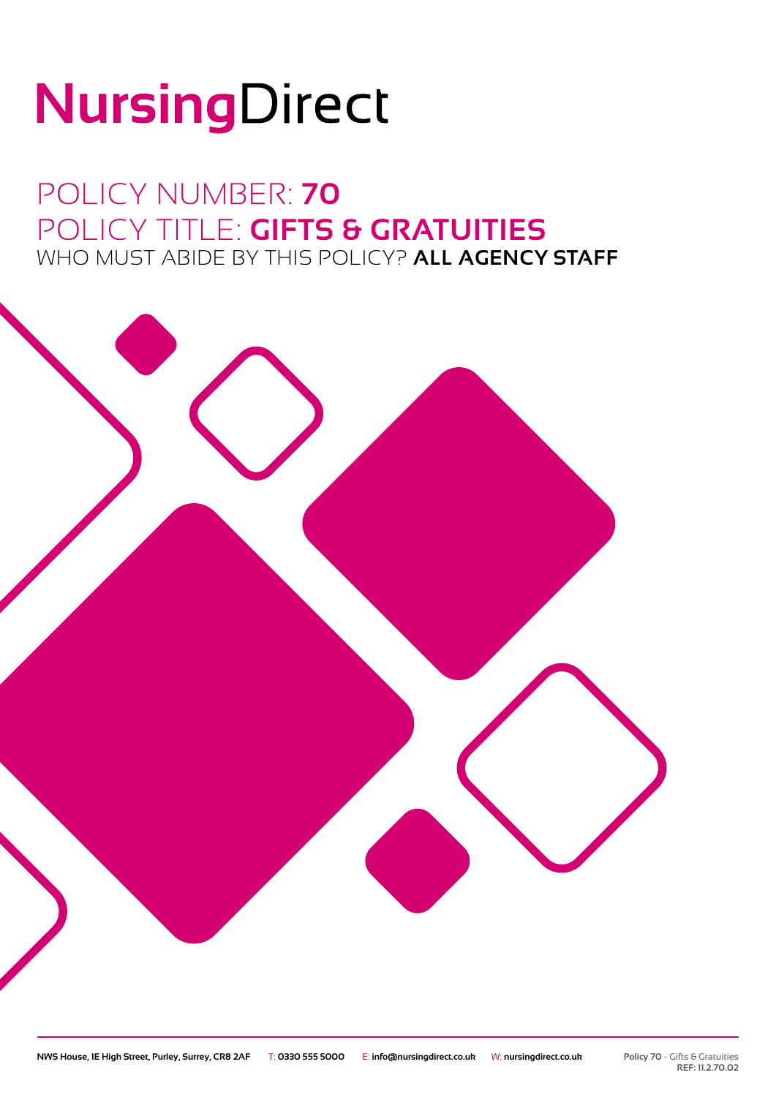# NursingDirect

### POLICY NUMBER: **70** POLICY TITLE: **GIFTS & GRATUITIES** WHO MUST ABIDE BY THIS POLICY? **ALL AGENCY STAFF**